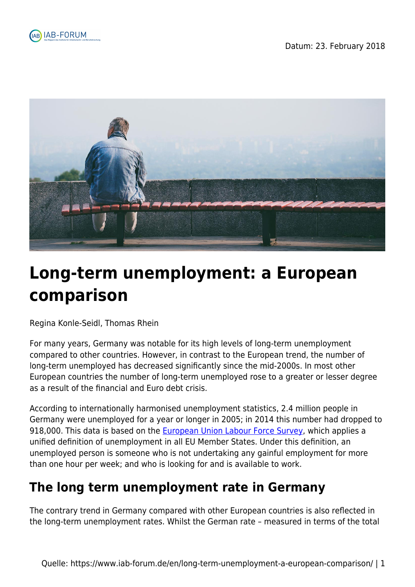



# **Long-term unemployment: a European comparison**

Regina Konle-Seidl, Thomas Rhein

For many years, Germany was notable for its high levels of long-term unemployment compared to other countries. However, in contrast to the European trend, the number of long-term unemployed has decreased significantly since the mid-2000s. In most other European countries the number of long-term unemployed rose to a greater or lesser degree as a result of the financial and Euro debt crisis.

According to internationally harmonised unemployment statistics, 2.4 million people in Germany were unemployed for a year or longer in 2005; in 2014 this number had dropped to 918,000. This data is based on the [European Union Labour Force Survey,](http://ec.europa.eu/eurostat/web/microdata/european-union-labour-force-survey) which applies a unified definition of unemployment in all EU Member States. Under this definition, an unemployed person is someone who is not undertaking any gainful employment for more than one hour per week; and who is looking for and is available to work.

## **The long term unemployment rate in Germany**

The contrary trend in Germany compared with other European countries is also reflected in the long-term unemployment rates. Whilst the German rate – measured in terms of the total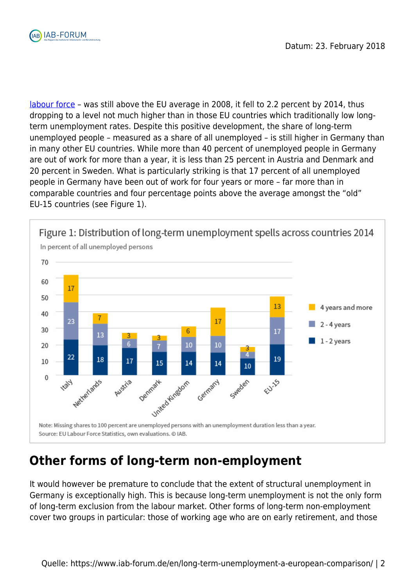

[labour force](https://www.iab-forum.de/en/glossar/labour-force/) – was still above the EU average in 2008, it fell to 2.2 percent by 2014, thus dropping to a level not much higher than in those EU countries which traditionally low longterm unemployment rates. Despite this positive development, the share of long-term unemployed people – measured as a share of all unemployed – is still higher in Germany than in many other EU countries. While more than 40 percent of unemployed people in Germany are out of work for more than a year, it is less than 25 percent in Austria and Denmark and 20 percent in Sweden. What is particularly striking is that 17 percent of all unemployed people in Germany have been out of work for four years or more – far more than in comparable countries and four percentage points above the average amongst the "old" EU-15 countries (see Figure 1).



### **Other forms of long-term non-employment**

It would however be premature to conclude that the extent of structural unemployment in Germany is exceptionally high. This is because long-term unemployment is not the only form of long-term exclusion from the labour market. Other forms of long-term non-employment cover two groups in particular: those of working age who are on early retirement, and those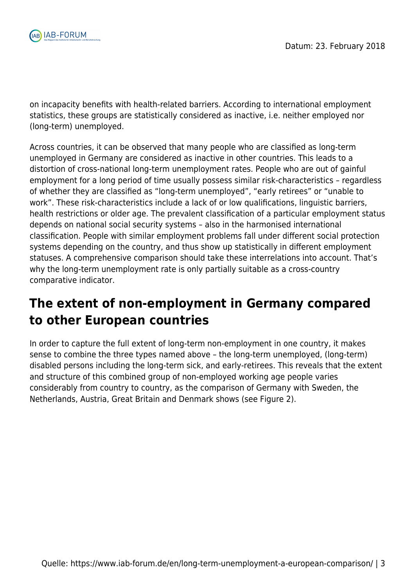

on incapacity benefits with health-related barriers. According to international employment statistics, these groups are statistically considered as inactive, i.e. neither employed nor (long-term) unemployed.

Across countries, it can be observed that many people who are classified as long-term unemployed in Germany are considered as inactive in other countries. This leads to a distortion of cross-national long-term unemployment rates. People who are out of gainful employment for a long period of time usually possess similar risk-characteristics – regardless of whether they are classified as "long-term unemployed", "early retirees" or "unable to work". These risk-characteristics include a lack of or low qualifications, linguistic barriers, health restrictions or older age. The prevalent classification of a particular employment status depends on national social security systems – also in the harmonised international classification. People with similar employment problems fall under different social protection systems depending on the country, and thus show up statistically in different employment statuses. A comprehensive comparison should take these interrelations into account. That's why the long-term unemployment rate is only partially suitable as a cross-country comparative indicator.

## **The extent of non-employment in Germany compared to other European countries**

In order to capture the full extent of long-term non-employment in one country, it makes sense to combine the three types named above – the long-term unemployed, (long-term) disabled persons including the long-term sick, and early-retirees. This reveals that the extent and structure of this combined group of non-employed working age people varies considerably from country to country, as the comparison of Germany with Sweden, the Netherlands, Austria, Great Britain and Denmark shows (see Figure 2).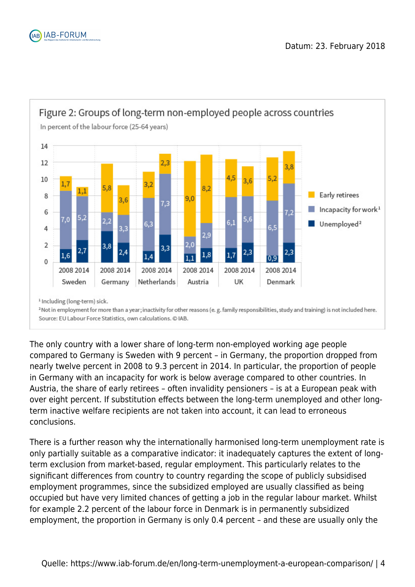



The only country with a lower share of long-term non-employed working age people compared to Germany is Sweden with 9 percent – in Germany, the proportion dropped from nearly twelve percent in 2008 to 9.3 percent in 2014. In particular, the proportion of people in Germany with an incapacity for work is below average compared to other countries. In Austria, the share of early retirees – often invalidity pensioners – is at a European peak with over eight percent. If substitution effects between the long-term unemployed and other longterm inactive welfare recipients are not taken into account, it can lead to erroneous conclusions.

There is a further reason why the internationally harmonised long-term unemployment rate is only partially suitable as a comparative indicator: it inadequately captures the extent of longterm exclusion from market-based, regular employment. This particularly relates to the significant differences from country to country regarding the scope of publicly subsidised employment programmes, since the subsidized employed are usually classified as being occupied but have very limited chances of getting a job in the regular labour market. Whilst for example 2.2 percent of the labour force in Denmark is in permanently subsidized employment, the proportion in Germany is only 0.4 percent – and these are usually only the